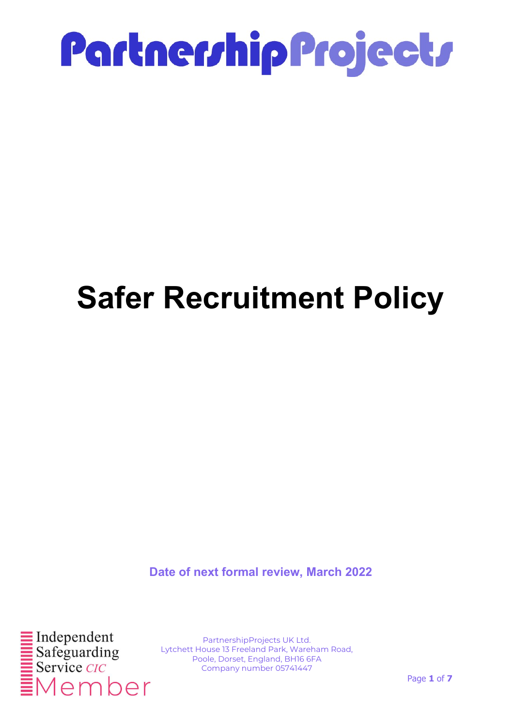

### Safer Recruitment Policy

Date of next formal review, March 2022



PartnershipProjects UK Ltd. Lytchett House 13 Freeland Park, Wareham Road, Poole, Dorset, England, BH16 6FA Company number 05741447

Page 1 of 7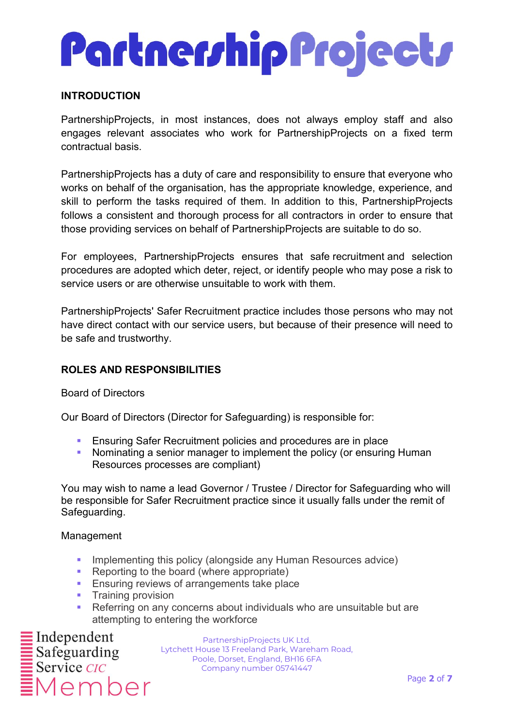# PartnerrhipProjectr

#### INTRODUCTION

PartnershipProjects, in most instances, does not always employ staff and also engages relevant associates who work for PartnershipProjects on a fixed term contractual basis.

PartnershipProjects has a duty of care and responsibility to ensure that everyone who works on behalf of the organisation, has the appropriate knowledge, experience, and skill to perform the tasks required of them. In addition to this, PartnershipProjects follows a consistent and thorough process for all contractors in order to ensure that those providing services on behalf of PartnershipProjects are suitable to do so.

For employees, PartnershipProjects ensures that safe recruitment and selection procedures are adopted which deter, reject, or identify people who may pose a risk to service users or are otherwise unsuitable to work with them.

PartnershipProjects' Safer Recruitment practice includes those persons who may not have direct contact with our service users, but because of their presence will need to be safe and trustworthy.

#### ROLES AND RESPONSIBILITIES

Board of Directors

Our Board of Directors (Director for Safeguarding) is responsible for:

- **Ensuring Safer Recruitment policies and procedures are in place**
- Nominating a senior manager to implement the policy (or ensuring Human Resources processes are compliant)

You may wish to name a lead Governor / Trustee / Director for Safeguarding who will be responsible for Safer Recruitment practice since it usually falls under the remit of Safeguarding.

#### Management

- **Implementing this policy (alongside any Human Resources advice)**
- **Reporting to the board (where appropriate)**
- **Ensuring reviews of arrangements take place**
- **Training provision**
- **Referring on any concerns about individuals who are unsuitable but are** attempting to entering the workforce

 $\equiv$ Independent *Member*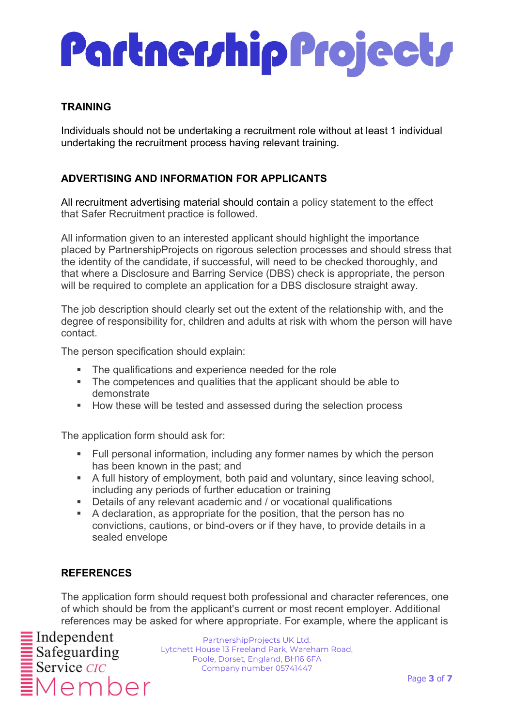#### TRAINING

Individuals should not be undertaking a recruitment role without at least 1 individual undertaking the recruitment process having relevant training.

### ADVERTISING AND INFORMATION FOR APPLICANTS

All recruitment advertising material should contain a policy statement to the effect that Safer Recruitment practice is followed.

All information given to an interested applicant should highlight the importance placed by PartnershipProjects on rigorous selection processes and should stress that the identity of the candidate, if successful, will need to be checked thoroughly, and that where a Disclosure and Barring Service (DBS) check is appropriate, the person will be required to complete an application for a DBS disclosure straight away.

The job description should clearly set out the extent of the relationship with, and the degree of responsibility for, children and adults at risk with whom the person will have contact.

The person specification should explain:

- The qualifications and experience needed for the role
- The competences and qualities that the applicant should be able to demonstrate
- **How these will be tested and assessed during the selection process**

The application form should ask for:

- Full personal information, including any former names by which the person has been known in the past; and
- A full history of employment, both paid and voluntary, since leaving school, including any periods of further education or training
- Details of any relevant academic and / or vocational qualifications
- A declaration, as appropriate for the position, that the person has no convictions, cautions, or bind-overs or if they have, to provide details in a sealed envelope

### **REFERENCES**

The application form should request both professional and character references, one of which should be from the applicant's current or most recent employer. Additional references may be asked for where appropriate. For example, where the applicant is

Member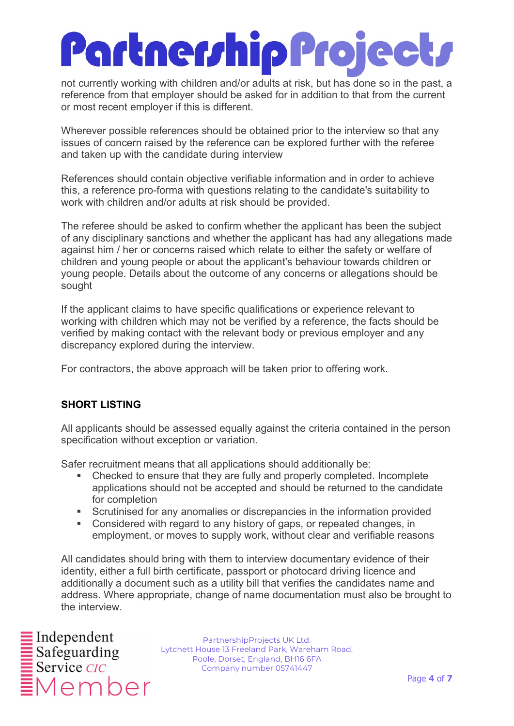not currently working with children and/or adults at risk, but has done so in the past, a reference from that employer should be asked for in addition to that from the current or most recent employer if this is different.

Wherever possible references should be obtained prior to the interview so that any issues of concern raised by the reference can be explored further with the referee and taken up with the candidate during interview

References should contain objective verifiable information and in order to achieve this, a reference pro-forma with questions relating to the candidate's suitability to work with children and/or adults at risk should be provided.

The referee should be asked to confirm whether the applicant has been the subject of any disciplinary sanctions and whether the applicant has had any allegations made against him / her or concerns raised which relate to either the safety or welfare of children and young people or about the applicant's behaviour towards children or young people. Details about the outcome of any concerns or allegations should be sought

If the applicant claims to have specific qualifications or experience relevant to working with children which may not be verified by a reference, the facts should be verified by making contact with the relevant body or previous employer and any discrepancy explored during the interview.

For contractors, the above approach will be taken prior to offering work.

### SHORT LISTING

All applicants should be assessed equally against the criteria contained in the person specification without exception or variation.

Safer recruitment means that all applications should additionally be:

- Checked to ensure that they are fully and properly completed. Incomplete applications should not be accepted and should be returned to the candidate for completion
- Scrutinised for any anomalies or discrepancies in the information provided
- Considered with regard to any history of gaps, or repeated changes, in employment, or moves to supply work, without clear and verifiable reasons

All candidates should bring with them to interview documentary evidence of their identity, either a full birth certificate, passport or photocard driving licence and additionally a document such as a utility bill that verifies the candidates name and address. Where appropriate, change of name documentation must also be brought to the interview.

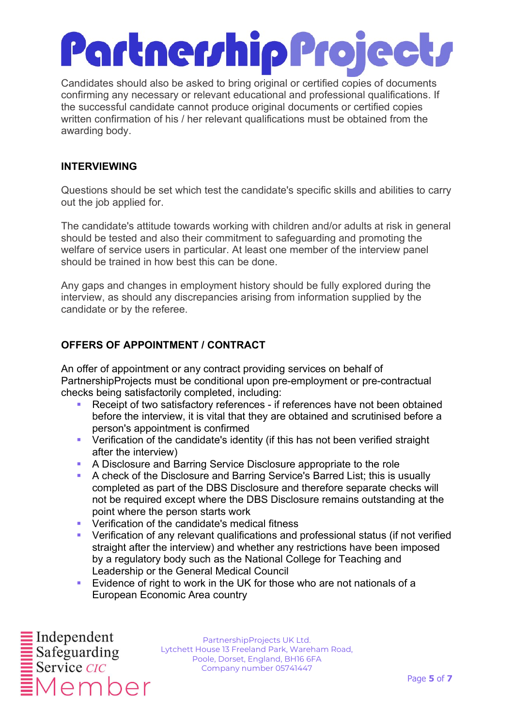Candidates should also be asked to bring original or certified copies of documents confirming any necessary or relevant educational and professional qualifications. If the successful candidate cannot produce original documents or certified copies written confirmation of his / her relevant qualifications must be obtained from the awarding body.

### INTERVIEWING

Questions should be set which test the candidate's specific skills and abilities to carry out the job applied for.

The candidate's attitude towards working with children and/or adults at risk in general should be tested and also their commitment to safeguarding and promoting the welfare of service users in particular. At least one member of the interview panel should be trained in how best this can be done.

Any gaps and changes in employment history should be fully explored during the interview, as should any discrepancies arising from information supplied by the candidate or by the referee.

### OFFERS OF APPOINTMENT / CONTRACT

An offer of appointment or any contract providing services on behalf of PartnershipProjects must be conditional upon pre-employment or pre-contractual checks being satisfactorily completed, including:

- Receipt of two satisfactory references if references have not been obtained before the interview, it is vital that they are obtained and scrutinised before a person's appointment is confirmed
- Verification of the candidate's identity (if this has not been verified straight after the interview)
- A Disclosure and Barring Service Disclosure appropriate to the role
- A check of the Disclosure and Barring Service's Barred List; this is usually completed as part of the DBS Disclosure and therefore separate checks will not be required except where the DBS Disclosure remains outstanding at the point where the person starts work
- **•** Verification of the candidate's medical fitness
- Verification of any relevant qualifications and professional status (if not verified straight after the interview) and whether any restrictions have been imposed by a regulatory body such as the National College for Teaching and Leadership or the General Medical Council
- Evidence of right to work in the UK for those who are not nationals of a European Economic Area country

Member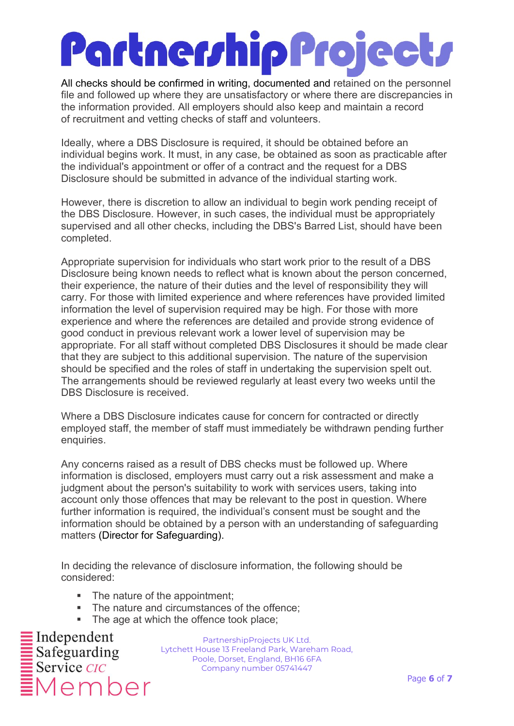All checks should be confirmed in writing, documented and retained on the personnel file and followed up where they are unsatisfactory or where there are discrepancies in the information provided. All employers should also keep and maintain a record of recruitment and vetting checks of staff and volunteers.

Ideally, where a DBS Disclosure is required, it should be obtained before an individual begins work. It must, in any case, be obtained as soon as practicable after the individual's appointment or offer of a contract and the request for a DBS Disclosure should be submitted in advance of the individual starting work.

However, there is discretion to allow an individual to begin work pending receipt of the DBS Disclosure. However, in such cases, the individual must be appropriately supervised and all other checks, including the DBS's Barred List, should have been completed.

Appropriate supervision for individuals who start work prior to the result of a DBS Disclosure being known needs to reflect what is known about the person concerned, their experience, the nature of their duties and the level of responsibility they will carry. For those with limited experience and where references have provided limited information the level of supervision required may be high. For those with more experience and where the references are detailed and provide strong evidence of good conduct in previous relevant work a lower level of supervision may be appropriate. For all staff without completed DBS Disclosures it should be made clear that they are subject to this additional supervision. The nature of the supervision should be specified and the roles of staff in undertaking the supervision spelt out. The arrangements should be reviewed regularly at least every two weeks until the DBS Disclosure is received.

Where a DBS Disclosure indicates cause for concern for contracted or directly employed staff, the member of staff must immediately be withdrawn pending further enquiries.

Any concerns raised as a result of DBS checks must be followed up. Where information is disclosed, employers must carry out a risk assessment and make a judgment about the person's suitability to work with services users, taking into account only those offences that may be relevant to the post in question. Where further information is required, the individual's consent must be sought and the information should be obtained by a person with an understanding of safeguarding matters (Director for Safeguarding).

In deciding the relevance of disclosure information, the following should be considered:

- The nature of the appointment:
- The nature and circumstances of the offence;
- The age at which the offence took place;

 $\equiv$  Independent<br> $\equiv$  Safeguarding  $\frac{1}{2}$  Service *CIC* 1ember